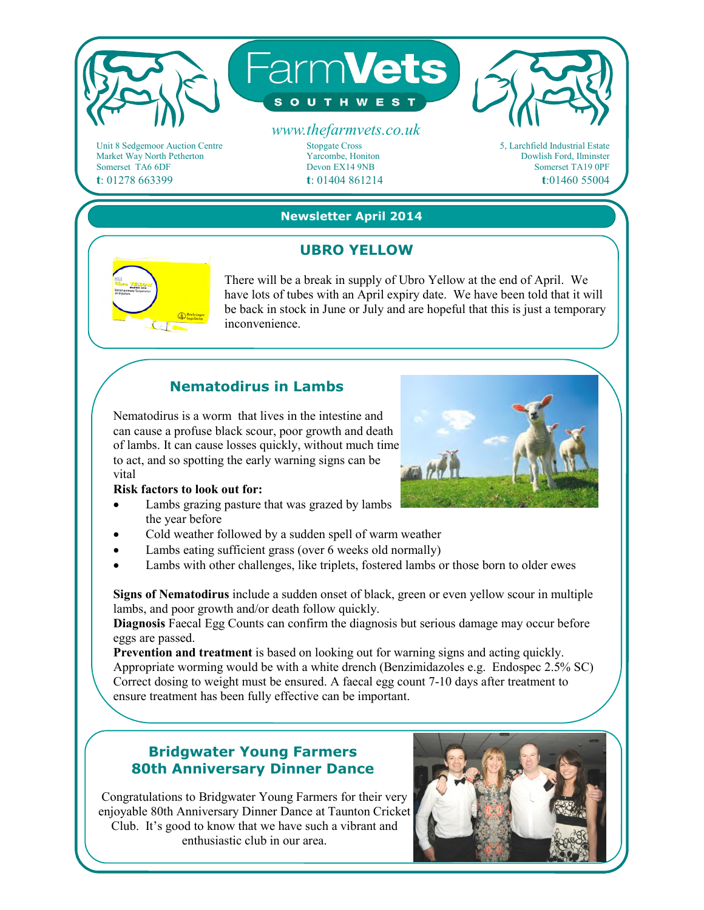

Unit 8 Sedgemoor Auction Centre Market Way North Petherton Somerset TA6 6DF **t**: 01278 663399

Stopgate Cross Yarcombe, Honiton Devon EX14 9NB **t**: 01404 861214



**Newsletter April 2014** 

# **UBRO YELLOW**



There will be a break in supply of Ubro Yellow at the end of April. We have lots of tubes with an April expiry date. We have been told that it will be back in stock in June or July and are hopeful that this is just a temporary inconvenience.

# **Nematodirus in Lambs**

Nematodirus is a worm that lives in the intestine and can cause a profuse black scour, poor growth and death of lambs. It can cause losses quickly, without much time to act, and so spotting the early warning signs can be vital

#### **Risk factors to look out for:**

- Lambs grazing pasture that was grazed by lambs the year before
- Cold weather followed by a sudden spell of warm weather
- Lambs eating sufficient grass (over 6 weeks old normally)
- Lambs with other challenges, like triplets, fostered lambs or those born to older ewes

**Signs of Nematodirus** include a sudden onset of black, green or even yellow scour in multiple lambs, and poor growth and/or death follow quickly.

**Diagnosis** Faecal Egg Counts can confirm the diagnosis but serious damage may occur before eggs are passed.

**Prevention and treatment** is based on looking out for warning signs and acting quickly. Appropriate worming would be with a white drench (Benzimidazoles e.g. Endospec 2.5% SC) Correct dosing to weight must be ensured. A faecal egg count 7-10 days after treatment to ensure treatment has been fully effective can be important.

## **Bridgwater Young Farmers 80th Anniversary Dinner Dance**

Congratulations to Bridgwater Young Farmers for their very enjoyable 80th Anniversary Dinner Dance at Taunton Cricket Club. It's good to know that we have such a vibrant and enthusiastic club in our area.